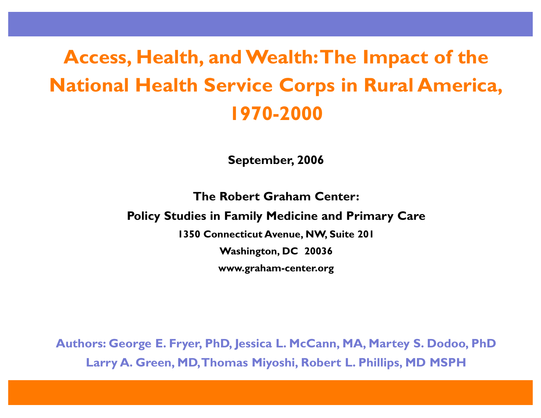# **Access, Health, and Wealth:The Impact of the National Health Service Corps in Rural America, 1970-2000**

**September, 2006**

**The Robert Graham Center:**

**Policy Studies in Family Medicine and Primary Care**

**1350 Connecticut Avenue, NW, Suite 201**

**Washington, DC 20036**

**www.graham-center.org**

**Authors: George E. Fryer, PhD, Jessica L. McCann, MA, Martey S. Dodoo, PhD Larry A. Green, MD,Thomas Miyoshi, Robert L. Phillips, MD MSPH**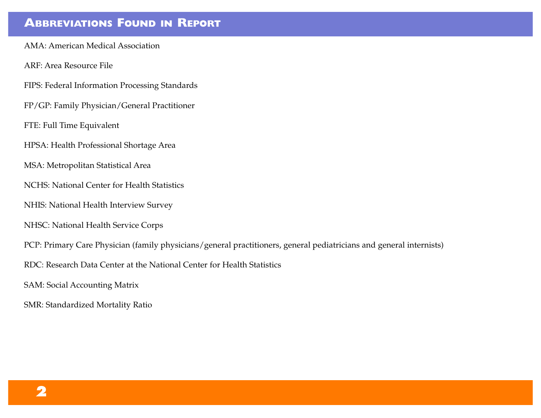### **ABBREVIATIONS FOUND IN REPORT**

AMA: American Medical Association

ARF: Area Resource File

FIPS: Federal Information Processing Standards

FP/GP: Family Physician/General Practitioner

FTE: Full Time Equivalent

HPSA: Health Professional Shortage Area

MSA: Metropolitan Statistical Area

NCHS: National Center for Health Statistics

NHIS: National Health Interview Survey

NHSC: National Health Service Corps

PCP: Primary Care Physician (family physicians/general practitioners, general pediatricians and general internists)

RDC: Research Data Center at the National Center for Health Statistics

SAM: Social Accounting Matrix

SMR: Standardized Mortality Ratio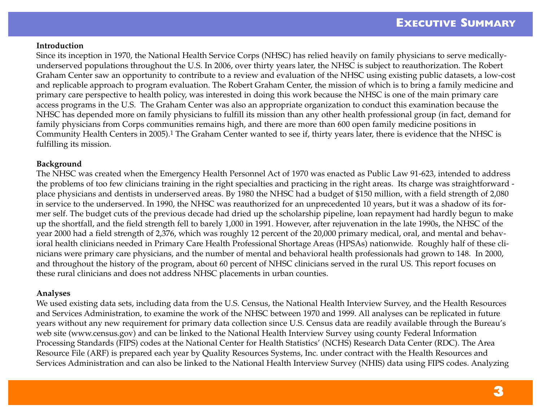#### **Introduction**

Since its inception in 1970, the National Health Service Corps (NHSC) has relied heavily on family physicians to serve medicallyunderserved populations throughout the U.S. In 2006, over thirty years later, the NHSC is subject to reauthorization. The Robert Graham Center saw an opportunity to contribute to a review and evaluation of the NHSC using existing public datasets, a low-cost and replicable approach to program evaluation. The Robert Graham Center, the mission of which is to bring a family medicine and primary care perspective to health policy, was interested in doing this work because the NHSC is one of the main primary care access programs in the U.S. The Graham Center was also an appropriate organization to conduct this examination because the NHSC has depended more on family physicians to fulfill its mission than any other health professional group (in fact, demand for family physicians from Corps communities remains high, and there are more than 600 open family medicine positions in Community Health Centers in 2005).1 The Graham Center wanted to see if, thirty years later, there is evidence that the NHSC is fulfilling its mission.

#### **Background**

The NHSC was created when the Emergency Health Personnel Act of 1970 was enacted as Public Law 91-623, intended to address the problems of too few clinicians training in the right specialties and practicing in the right areas. Its charge was straightforward place physicians and dentists in underserved areas. By 1980 the NHSC had a budget of \$150 million, with a field strength of 2,080 in service to the underserved. In 1990, the NHSC was reauthorized for an unprecedented 10 years, but it was a shadow of its former self. The budget cuts of the previous decade had dried up the scholarship pipeline, loan repayment had hardly begun to make up the shortfall, and the field strength fell to barely 1,000 in 1991. However, after rejuvenation in the late 1990s, the NHSC of the year 2000 had a field strength of 2,376, which was roughly 12 percent of the 20,000 primary medical, oral, and mental and behavioral health clinicians needed in Primary Care Health Professional Shortage Areas (HPSAs) nationwide. Roughly half of these clinicians were primary care physicians, and the number of mental and behavioral health professionals had grown to 148. In 2000, and throughout the history of the program, about 60 percent of NHSC clinicians served in the rural US. This report focuses on these rural clinicians and does not address NHSC placements in urban counties.

#### **Analyses**

We used existing data sets, including data from the U.S. Census, the National Health Interview Survey, and the Health Resources and Services Administration, to examine the work of the NHSC between 1970 and 1999. All analyses can be replicated in future years without any new requirement for primary data collection since U.S. Census data are readily available through the Bureau's web site (www.census.gov) and can be linked to the National Health Interview Survey using county Federal Information Processing Standards (FIPS) codes at the National Center for Health Statistics' (NCHS) Research Data Center (RDC). The Area Resource File (ARF) is prepared each year by Quality Resources Systems, Inc. under contract with the Health Resources and Services Administration and can also be linked to the National Health Interview Survey (NHIS) data using FIPS codes. Analyzing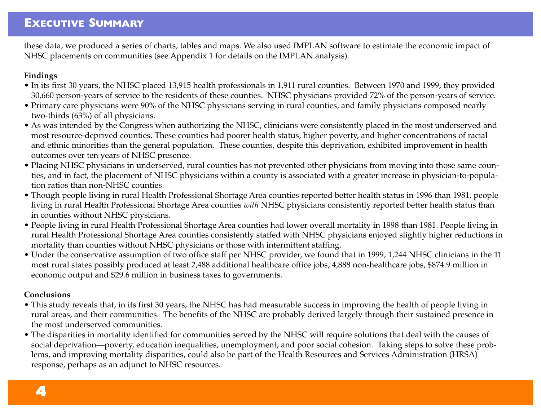these data, we produced a series of charts, tables and maps. We also used IMPLAN software to estimate the economic impact of NHSC placements on communities (see Appendix 1 for details on the IMPLAN analysis).

#### **Findings**

- In its first 30 years, the NHSC placed 13,915 health professionals in 1,911 rural counties. Between 1970 and 1999, they provided 30,660 person-years of service to the residents of these counties. NHSC physicians provided 72% of the person-years of service.
- Primary care physicians were 90% of the NHSC physicians serving in rural counties, and family physicians composed nearly two-thirds (63%) of all physicians.
- As was intended by the Congress when authorizing the NHSC, clinicians were consistently placed in the most underserved and most resource-deprived counties. These counties had poorer health status, higher poverty, and higher concentrations of racial and ethnic minorities than the general population. These counties, despite this deprivation, exhibited improvement in health outcomes over ten years of NHSC presence.
- Placing NHSC physicians in underserved, rural counties has not prevented other physicians from moving into those same counties, and in fact, the placement of NHSC physicians within a county is associated with a greater increase in physician-to-population ratios than non-NHSC counties.
- Though people living in rural Health Professional Shortage Area counties reported better health status in 1996 than 1981, people living in rural Health Professional Shortage Area counties *with* NHSC physicians consistently reported better health status than in counties without NHSC physicians.
- People living in rural Health Professional Shortage Area counties had lower overall mortality in 1998 than 1981. People living in rural Health Professional Shortage Area counties consistently staffed with NHSC physicians enjoyed slightly higher reductions in mortality than counties without NHSC physicians or those with intermittent staffing.
- Under the conservative assumption of two office staff per NHSC provider, we found that in 1999, 1,244 NHSC clinicians in the 11 most rural states possibly produced at least 2,488 additional healthcare office jobs, 4,888 non-healthcare jobs, \$874.9 million in economic output and \$29.6 million in business taxes to governments.

#### **Conclusions**

- This study reveals that, in its first 30 years, the NHSC has had measurable success in improving the health of people living in rural areas, and their communities. The benefits of the NHSC are probably derived largely through their sustained presence in the most underserved communities.
- The disparities in mortality identified for communities served by the NHSC will require solutions that deal with the causes of social deprivation—poverty, education inequalities, unemployment, and poor social cohesion. Taking steps to solve these problems, and improving mortality disparities, could also be part of the Health Resources and Services Administration (HRSA) response, perhaps as an adjunct to NHSC resources.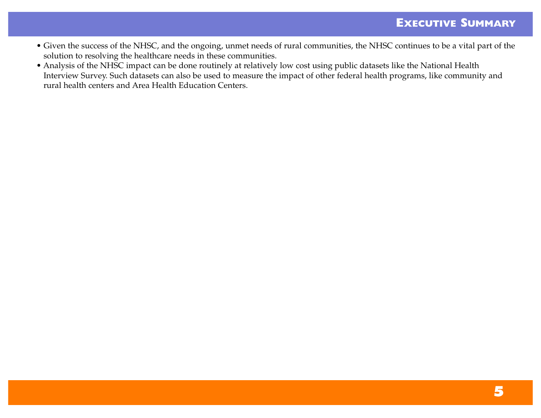- Given the success of the NHSC, and the ongoing, unmet needs of rural communities, the NHSC continues to be a vital part of the solution to resolving the healthcare needs in these communities.
- Analysis of the NHSC impact can be done routinely at relatively low cost using public datasets like the National Health Interview Survey. Such datasets can also be used to measure the impact of other federal health programs, like community and rural health centers and Area Health Education Centers.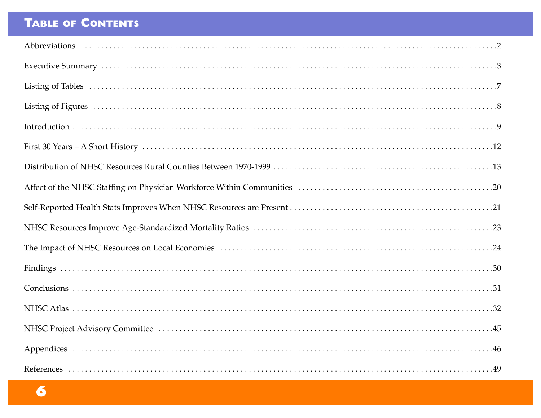# **TABLE OF CONTENTS**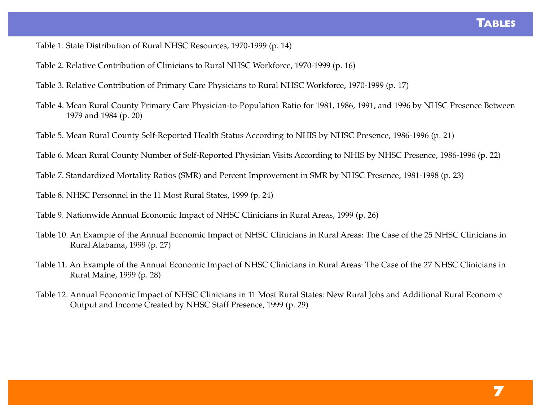Table 1. State Distribution of Rural NHSC Resources, 1970-1999 (p. 14)

Table 2. Relative Contribution of Clinicians to Rural NHSC Workforce, 1970-1999 (p. 16)

Table 3. Relative Contribution of Primary Care Physicians to Rural NHSC Workforce, 1970-1999 (p. 17)

Table 4. Mean Rural County Primary Care Physician-to-Population Ratio for 1981, 1986, 1991, and 1996 by NHSC Presence Between 1979 and 1984 (p. 20)

Table 5. Mean Rural County Self-Reported Health Status According to NHIS by NHSC Presence, 1986-1996 (p. 21)

Table 6. Mean Rural County Number of Self-Reported Physician Visits According to NHIS by NHSC Presence, 1986-1996 (p. 22)

Table 7. Standardized Mortality Ratios (SMR) and Percent Improvement in SMR by NHSC Presence, 1981-1998 (p. 23)

Table 8. NHSC Personnel in the 11 Most Rural States, 1999 (p. 24)

Table 9. Nationwide Annual Economic Impact of NHSC Clinicians in Rural Areas, 1999 (p. 26)

- Table 10. An Example of the Annual Economic Impact of NHSC Clinicians in Rural Areas: The Case of the 25 NHSC Clinicians in Rural Alabama, 1999 (p. 27)
- Table 11. An Example of the Annual Economic Impact of NHSC Clinicians in Rural Areas: The Case of the 27 NHSC Clinicians in Rural Maine, 1999 (p. 28)
- Table 12. Annual Economic Impact of NHSC Clinicians in 11 Most Rural States: New Rural Jobs and Additional Rural Economic Output and Income Created by NHSC Staff Presence, 1999 (p. 29)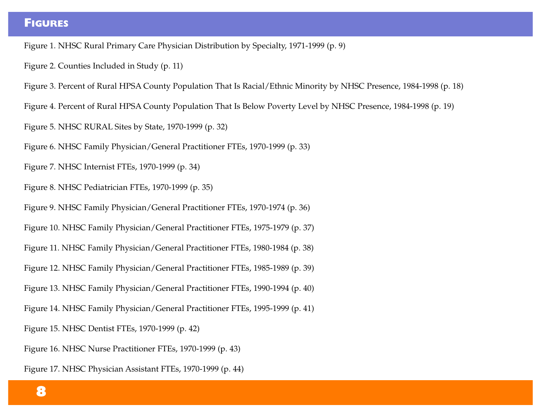### **FIGURES**

Figure 1. NHSC Rural Primary Care Physician Distribution by Specialty, 1971-1999 (p. 9)

Figure 2. Counties Included in Study (p. 11)

Figure 3. Percent of Rural HPSA County Population That Is Racial/Ethnic Minority by NHSC Presence, 1984-1998 (p. 18)

Figure 4. Percent of Rural HPSA County Population That Is Below Poverty Level by NHSC Presence, 1984-1998 (p. 19)

Figure 5. NHSC RURAL Sites by State, 1970-1999 (p. 32)

Figure 6. NHSC Family Physician/General Practitioner FTEs, 1970-1999 (p. 33)

Figure 7. NHSC Internist FTEs, 1970-1999 (p. 34)

Figure 8. NHSC Pediatrician FTEs, 1970-1999 (p. 35)

Figure 9. NHSC Family Physician/General Practitioner FTEs, 1970-1974 (p. 36)

Figure 10. NHSC Family Physician/General Practitioner FTEs, 1975-1979 (p. 37)

Figure 11. NHSC Family Physician/General Practitioner FTEs, 1980-1984 (p. 38)

Figure 12. NHSC Family Physician/General Practitioner FTEs, 1985-1989 (p. 39)

Figure 13. NHSC Family Physician/General Practitioner FTEs, 1990-1994 (p. 40)

Figure 14. NHSC Family Physician/General Practitioner FTEs, 1995-1999 (p. 41)

Figure 15. NHSC Dentist FTEs, 1970-1999 (p. 42)

Figure 16. NHSC Nurse Practitioner FTEs, 1970-1999 (p. 43)

Figure 17. NHSC Physician Assistant FTEs, 1970-1999 (p. 44)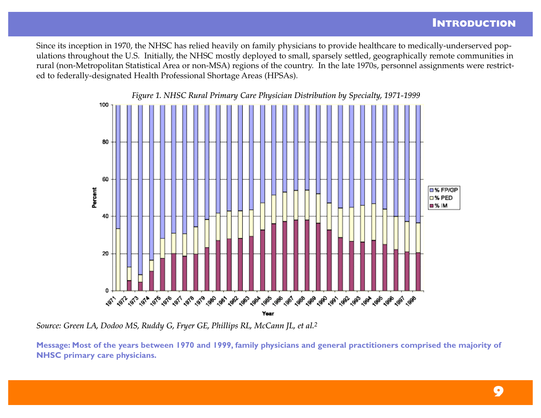### **INTRODUCTION**

Since its inception in 1970, the NHSC has relied heavily on family physicians to provide healthcare to medically-underserved populations throughout the U.S. Initially, the NHSC mostly deployed to small, sparsely settled, geographically remote communities in rural (non-Metropolitan Statistical Area or non-MSA) regions of the country. In the late 1970s, personnel assignments were restricted to federally-designated Health Professional Shortage Areas (HPSAs).



*Source: Green LA, Dodoo MS, Ruddy G, Fryer GE, Phillips RL, McCann JL, et al.2*

**Message: Most of the years between 1970 and 1999, family physicians and general practitioners comprised the majority of NHSC primary care physicians.**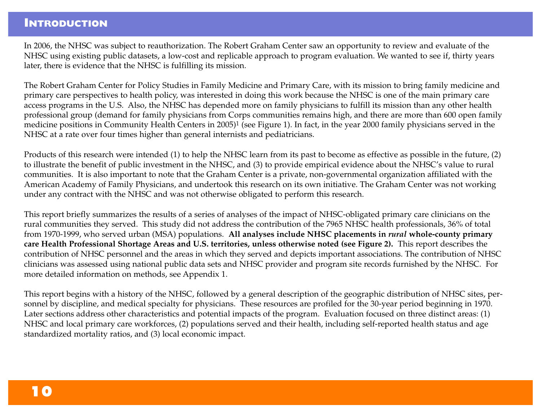### **INTRODUCTION**

In 2006, the NHSC was subject to reauthorization. The Robert Graham Center saw an opportunity to review and evaluate of the NHSC using existing public datasets, a low-cost and replicable approach to program evaluation. We wanted to see if, thirty years later, there is evidence that the NHSC is fulfilling its mission.

The Robert Graham Center for Policy Studies in Family Medicine and Primary Care, with its mission to bring family medicine and primary care perspectives to health policy, was interested in doing this work because the NHSC is one of the main primary care access programs in the U.S. Also, the NHSC has depended more on family physicians to fulfill its mission than any other health professional group (demand for family physicians from Corps communities remains high, and there are more than 600 open family medicine positions in Community Health Centers in 2005)<sup>1</sup> (see Figure 1). In fact, in the year 2000 family physicians served in the NHSC at a rate over four times higher than general internists and pediatricians.

Products of this research were intended (1) to help the NHSC learn from its past to become as effective as possible in the future, (2) to illustrate the benefit of public investment in the NHSC, and (3) to provide empirical evidence about the NHSC's value to rural communities. It is also important to note that the Graham Center is a private, non-governmental organization affiliated with the American Academy of Family Physicians, and undertook this research on its own initiative. The Graham Center was not working under any contract with the NHSC and was not otherwise obligated to perform this research.

This report briefly summarizes the results of a series of analyses of the impact of NHSC-obligated primary care clinicians on the rural communities they served. This study did not address the contribution of the 7965 NHSC health professionals, 36% of total from 1970-1999, who served urban (MSA) populations. **All analyses include NHSC placements in** *rural* **whole-county primary care Health Professional Shortage Areas and U.S. territories, unless otherwise noted (see Figure 2).** This report describes the contribution of NHSC personnel and the areas in which they served and depicts important associations. The contribution of NHSC clinicians was assessed using national public data sets and NHSC provider and program site records furnished by the NHSC. For more detailed information on methods, see Appendix 1.

This report begins with a history of the NHSC, followed by a general description of the geographic distribution of NHSC sites, personnel by discipline, and medical specialty for physicians. These resources are profiled for the 30-year period beginning in 1970. Later sections address other characteristics and potential impacts of the program. Evaluation focused on three distinct areas: (1) NHSC and local primary care workforces, (2) populations served and their health, including self-reported health status and age standardized mortality ratios, and (3) local economic impact.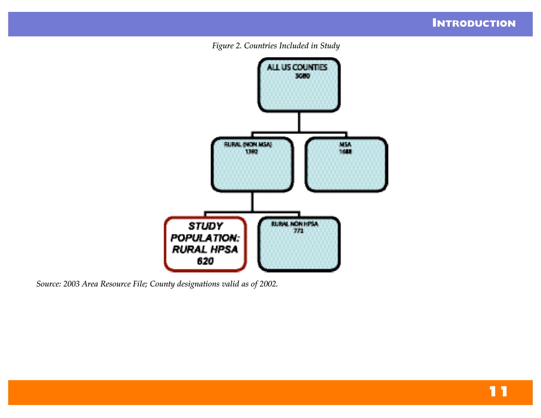



*Source: 2003 Area Resource File; County designations valid as of 2002.*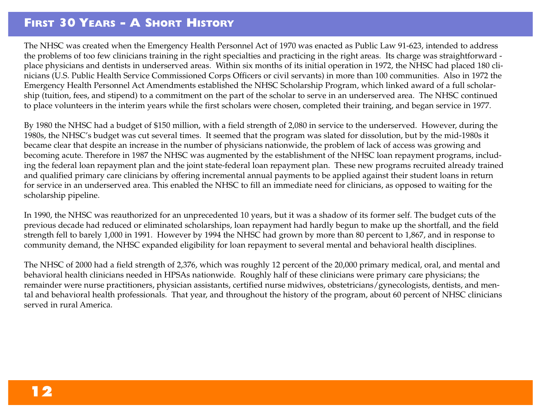### **FIRST 30 YEARS - A SHORT HISTORY**

The NHSC was created when the Emergency Health Personnel Act of 1970 was enacted as Public Law 91-623, intended to address the problems of too few clinicians training in the right specialties and practicing in the right areas. Its charge was straightforward place physicians and dentists in underserved areas. Within six months of its initial operation in 1972, the NHSC had placed 180 clinicians (U.S. Public Health Service Commissioned Corps Officers or civil servants) in more than 100 communities. Also in 1972 the Emergency Health Personnel Act Amendments established the NHSC Scholarship Program, which linked award of a full scholarship (tuition, fees, and stipend) to a commitment on the part of the scholar to serve in an underserved area. The NHSC continued to place volunteers in the interim years while the first scholars were chosen, completed their training, and began service in 1977.

By 1980 the NHSC had a budget of \$150 million, with a field strength of 2,080 in service to the underserved. However, during the 1980s, the NHSC's budget was cut several times. It seemed that the program was slated for dissolution, but by the mid-1980s it became clear that despite an increase in the number of physicians nationwide, the problem of lack of access was growing and becoming acute. Therefore in 1987 the NHSC was augmented by the establishment of the NHSC loan repayment programs, including the federal loan repayment plan and the joint state-federal loan repayment plan. These new programs recruited already trained and qualified primary care clinicians by offering incremental annual payments to be applied against their student loans in return for service in an underserved area. This enabled the NHSC to fill an immediate need for clinicians, as opposed to waiting for the scholarship pipeline.

In 1990, the NHSC was reauthorized for an unprecedented 10 years, but it was a shadow of its former self. The budget cuts of the previous decade had reduced or eliminated scholarships, loan repayment had hardly begun to make up the shortfall, and the field strength fell to barely 1,000 in 1991. However by 1994 the NHSC had grown by more than 80 percent to 1,867, and in response to community demand, the NHSC expanded eligibility for loan repayment to several mental and behavioral health disciplines.

The NHSC of 2000 had a field strength of 2,376, which was roughly 12 percent of the 20,000 primary medical, oral, and mental and behavioral health clinicians needed in HPSAs nationwide. Roughly half of these clinicians were primary care physicians; the remainder were nurse practitioners, physician assistants, certified nurse midwives, obstetricians/gynecologists, dentists, and mental and behavioral health professionals. That year, and throughout the history of the program, about 60 percent of NHSC clinicians served in rural America.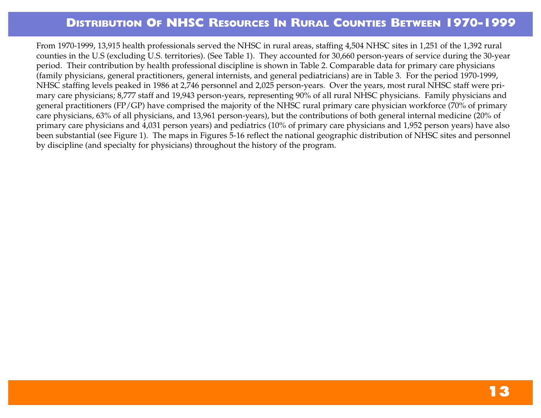From 1970-1999, 13,915 health professionals served the NHSC in rural areas, staffing 4,504 NHSC sites in 1,251 of the 1,392 rural counties in the U.S (excluding U.S. territories). (See Table 1). They accounted for 30,660 person-years of service during the 30-year period. Their contribution by health professional discipline is shown in Table 2. Comparable data for primary care physicians (family physicians, general practitioners, general internists, and general pediatricians) are in Table 3. For the period 1970-1999, NHSC staffing levels peaked in 1986 at 2,746 personnel and 2,025 person-years. Over the years, most rural NHSC staff were primary care physicians; 8,777 staff and 19,943 person-years, representing 90% of all rural NHSC physicians. Family physicians and general practitioners (FP/GP) have comprised the majority of the NHSC rural primary care physician workforce (70% of primary care physicians, 63% of all physicians, and 13,961 person-years), but the contributions of both general internal medicine (20% of primary care physicians and 4,031 person years) and pediatrics (10% of primary care physicians and 1,952 person years) have also been substantial (see Figure 1). The maps in Figures 5-16 reflect the national geographic distribution of NHSC sites and personnel by discipline (and specialty for physicians) throughout the history of the program.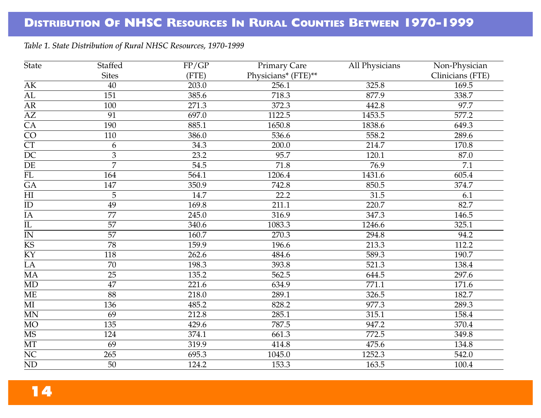#### *Table 1. State Distribution of Rural NHSC Resources, 1970-1999*

| State                  | Staffed         | FP/GP | <b>Primary Care</b> | All Physicians | Non-Physician    |
|------------------------|-----------------|-------|---------------------|----------------|------------------|
|                        | <b>Sites</b>    | (FTE) | Physicians* (FTE)** |                | Clinicians (FTE) |
| AK                     | 40              | 203.0 | 256.1               | 325.8          | 169.5            |
| $\overline{AL}$        | 151             | 385.6 | 718.3               | 877.9          | 338.7            |
| AR                     | 100             | 271.3 | 372.3               | 442.8          | 97.7             |
| $\overline{AZ}$        | 91              | 697.0 | 1122.5              | 1453.5         | 577.2            |
| $\overline{CA}$        | 190             | 885.1 | 1650.8              | 1838.6         | 649.3            |
| $\overline{\text{CO}}$ | 110             | 386.0 | 536.6               | 558.2          | 289.6            |
| $\overline{\text{CT}}$ | 6               | 34.3  | 200.0               | 214.7          | 170.8            |
| $\overline{DC}$        | 3               | 23.2  | 95.7                | 120.1          | 87.0             |
| $\rm DE$               | $\overline{7}$  | 54.5  | 71.8                | 76.9           | 7.1              |
| $\overline{FL}$        | 164             | 564.1 | 1206.4              | 1431.6         | 605.4            |
| $\overline{GA}$        | 147             | 350.9 | 742.8               | 850.5          | 374.7            |
| $\overline{HI}$        | 5               | 14.7  | 22.2                | 31.5           | 6.1              |
| $\rm ID$               | 49              | 169.8 | 211.1               | 220.7          | 82.7             |
| $\overline{IA}$        | $\overline{77}$ | 245.0 | 316.9               | 347.3          | 146.5            |
| $\overline{\text{IL}}$ | 57              | 340.6 | 1083.3              | 1246.6         | 325.1            |
| IN                     | 57              | 160.7 | 270.3               | 294.8          | 94.2             |
| $\overline{\text{KS}}$ | 78              | 159.9 | 196.6               | 213.3          | 112.2            |
| KY                     | 118             | 262.6 | 484.6               | 589.3          | 190.7            |
| $\overline{LA}$        | 70              | 198.3 | 393.8               | 521.3          | 138.4            |
| $\overline{MA}$        | 25              | 135.2 | 562.5               | 644.5          | 297.6            |
| MD                     | 47              | 221.6 | 634.9               | 771.1          | 171.6            |
| $\overline{\text{ME}}$ | $\overline{88}$ | 218.0 | 289.1               | 326.5          | 182.7            |
| $\rm MI$               | 136             | 485.2 | 828.2               | 977.3          | 289.3            |
| $\mbox{MN}$            | 69              | 212.8 | 285.1               | 315.1          | 158.4            |
| $MO$                   | 135             | 429.6 | 787.5               | 947.2          | 370.4            |
| $\overline{\text{MS}}$ | 124             | 374.1 | 661.3               | 772.5          | 349.8            |
| $\overline{\text{MT}}$ | 69              | 319.9 | 414.8               | 475.6          | 134.8            |
| $\rm NC$               | 265             | 695.3 | 1045.0              | 1252.3         | 542.0            |
| $\overline{ND}$        | $\overline{50}$ | 124.2 | 153.3               | 163.5          | 100.4            |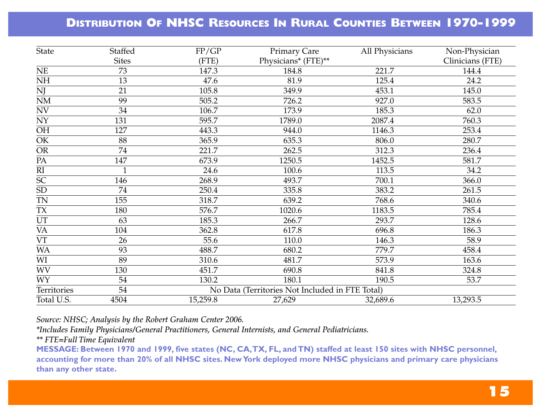| <b>State</b>                                        | <b>Staffed</b>  | FP/GP    | <b>Primary Care</b>                             | All Physicians | Non-Physician    |
|-----------------------------------------------------|-----------------|----------|-------------------------------------------------|----------------|------------------|
|                                                     | <b>Sites</b>    | (FTE)    | Physicians* (FTE)**                             |                | Clinicians (FTE) |
| $\rm NE$                                            | 73              | 147.3    | 184.8                                           | 221.7          | 144.4            |
| $\rm NH$                                            | 13              | 47.6     | 81.9                                            | 125.4          | 24.2             |
|                                                     | 21              | 105.8    | 349.9                                           | 453.1          | 145.0            |
| $\frac{\overline{NJ}}{\overline{NM}}$               | 99              | 505.2    | 726.2                                           | 927.0          | 583.5            |
| $\ensuremath{\text{NV}}$                            | 34              | 106.7    | 173.9                                           | 185.3          | 62.0             |
| $\overline{NY}$                                     | 131             | 595.7    | 1789.0                                          | 2087.4         | 760.3            |
| $\overline{OH}$                                     | 127             | 443.3    | 944.0                                           | 1146.3         | 253.4            |
| $\frac{\overline{\text{OK}}}{\overline{\text{OR}}}$ | 88              | 365.9    | 635.3                                           | 806.0          | 280.7            |
|                                                     | $\overline{74}$ | 221.7    | 262.5                                           | 312.3          | 236.4            |
| $\overline{PA}$                                     | 147             | 673.9    | 1250.5                                          | 1452.5         | 581.7            |
| $\overline{\text{RI}}$                              |                 | 24.6     | 100.6                                           | 113.5          | 34.2             |
| $\overline{SC}$                                     | 146             | 268.9    | 493.7                                           | 700.1          | 366.0            |
| $\overline{\text{SD}}$                              | 74              | 250.4    | 335.8                                           | 383.2          | 261.5            |
| <b>TN</b>                                           | 155             | 318.7    | 639.2                                           | 768.6          | 340.6            |
| $\mathsf{T}\mathsf{X}$                              | 180             | 576.7    | 1020.6                                          | 1183.5         | 785.4            |
| $\ensuremath{\mathsf{UT}}$                          | 63              | 185.3    | 266.7                                           | 293.7          | 128.6            |
| <b>VA</b>                                           | 104             | 362.8    | 617.8                                           | 696.8          | 186.3            |
| $\overline{\text{VT}}$                              | 26              | 55.6     | 110.0                                           | 146.3          | 58.9             |
| <b>WA</b>                                           | 93              | 488.7    | 680.2                                           | 779.7          | 458.4            |
| WI                                                  | 89              | 310.6    | 481.7                                           | 573.9          | 163.6            |
| <b>WV</b>                                           | 130             | 451.7    | 690.8                                           | 841.8          | 324.8            |
| <b>WY</b>                                           | 54              | 130.2    | 180.1                                           | 190.5          | 53.7             |
| Territories                                         | 54              |          | No Data (Territories Not Included in FTE Total) |                |                  |
| Total U.S.                                          | 4504            | 15,259.8 | 27,629                                          | 32,689.6       | 13,293.5         |

*Source: NHSC; Analysis by the Robert Graham Center 2006.*

*\*Includes Family Physicians/General Practitioners, General Internists, and General Pediatricians.*

*\*\* FTE=Full Time Equivalent*

**MESSAGE: Between 1970 and 1999, five states (NC, CA,TX, FL, and TN) staffed at least 150 sites with NHSC personnel, accounting for more than 20% of all NHSC sites. NewYork deployed more NHSC physicians and primary care physicians than any other state.**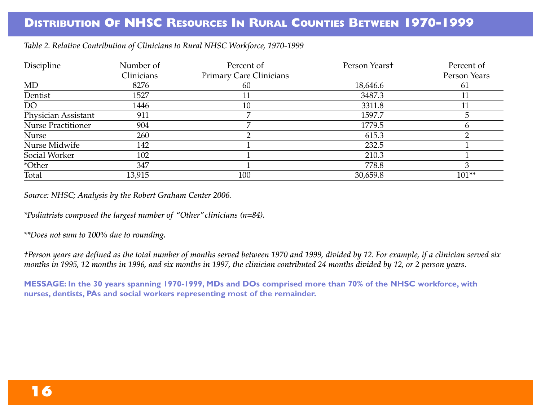| Discipline                | Number of  | Percent of                     | Person Yearst | Percent of   |
|---------------------------|------------|--------------------------------|---------------|--------------|
|                           | Clinicians | <b>Primary Care Clinicians</b> |               | Person Years |
| MD                        | 8276       | 60                             | 18,646.6      | 61           |
| Dentist                   | 1527       |                                | 3487.3        |              |
| DO                        | 1446       | 10                             | 3311.8        |              |
| Physician Assistant       | 911        |                                | 1597.7        |              |
| <b>Nurse Practitioner</b> | 904        |                                | 1779.5        |              |
| Nurse                     | 260        |                                | 615.3         |              |
| Nurse Midwife             | 142        |                                | 232.5         |              |
| Social Worker             | 102        |                                | 210.3         |              |
| *Other                    | 347        |                                | 778.8         |              |
| Total                     | 13,915     | 100                            | 30,659.8      | $101**$      |

*Table 2. Relative Contribution of Clinicians to Rural NHSC Workforce, 1970-1999*

*Source: NHSC; Analysis by the Robert Graham Center 2006.*

*\*Podiatrists composed the largest number of "Other"clinicians (n=84).*

*\*\*Does not sum to 100% due to rounding.*

*†Person years are defined as the total number of months served between 1970 and 1999, divided by 12. For example, if a clinician served six months in 1995, 12 months in 1996, and six months in 1997, the clinician contributed 24 months divided by 12, or 2 person years.*

**MESSAGE: In the 30 years spanning 1970-1999, MDs and DOs comprised more than 70% of the NHSC workforce, with nurses, dentists, PAs and social workers representing most of the remainder.**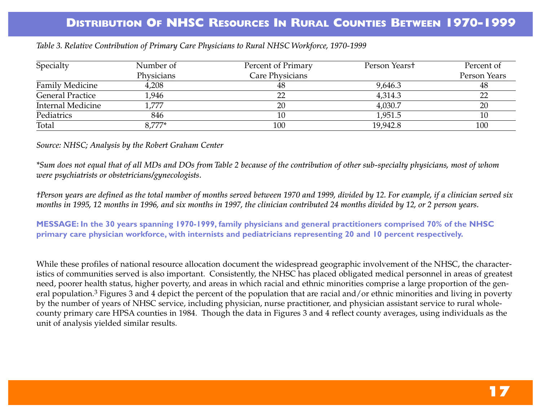| Specialty               | Number of  | Percent of Primary | Person Yearst | Percent of   |
|-------------------------|------------|--------------------|---------------|--------------|
|                         | Physicians | Care Physicians    |               | Person Years |
| <b>Family Medicine</b>  | 4,208      | 48                 | 9,646.3       | 48           |
| <b>General Practice</b> | 1,946      | 22                 | 4,314.3       | 22           |
| Internal Medicine       | ,777       | 20                 | 4,030.7       | 20           |
| Pediatrics              | 846        |                    | 1,951.5       |              |
| Total                   | 8.777*     | 100                | 19,942.8      | 100          |

*Table 3. Relative Contribution of Primary Care Physicians to Rural NHSC Workforce, 1970-1999*

*Source: NHSC; Analysis by the Robert Graham Center*

*\*Sum does not equal that of all MDs and DOs from Table 2 because of the contribution of other sub-specialty physicians, most of whom were psychiatrists or obstetricians/gynecologists.*

*†Person years are defined as the total number of months served between 1970 and 1999, divided by 12. For example, if a clinician served six months in 1995, 12 months in 1996, and six months in 1997, the clinician contributed 24 months divided by 12, or 2 person years.*

**MESSAGE: In the 30 years spanning 1970-1999, family physicians and general practitioners comprised 70% of the NHSC primary care physician workforce, with internists and pediatricians representing 20 and 10 percent respectively.**

While these profiles of national resource allocation document the widespread geographic involvement of the NHSC, the characteristics of communities served is also important. Consistently, the NHSC has placed obligated medical personnel in areas of greatest need, poorer health status, higher poverty, and areas in which racial and ethnic minorities comprise a large proportion of the general population.<sup>3</sup> Figures 3 and 4 depict the percent of the population that are racial and/or ethnic minorities and living in poverty by the number of years of NHSC service, including physician, nurse practitioner, and physician assistant service to rural wholecounty primary care HPSA counties in 1984. Though the data in Figures 3 and 4 reflect county averages, using individuals as the unit of analysis yielded similar results.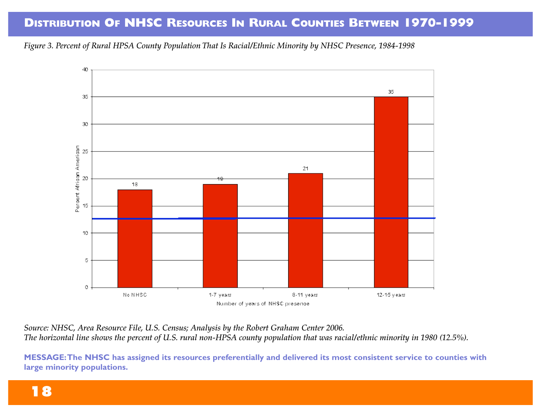*Figure 3. Percent of Rural HPSA County Population That Is Racial/Ethnic Minority by NHSC Presence, 1984-1998*



*Source: NHSC, Area Resource File, U.S. Census; Analysis by the Robert Graham Center 2006. The horizontal line shows the percent of U.S. rural non-HPSA county population that was racial/ethnic minority in 1980 (12.5%).*

**MESSAGE:The NHSC has assigned its resources preferentially and delivered its most consistent service to counties with large minority populations.**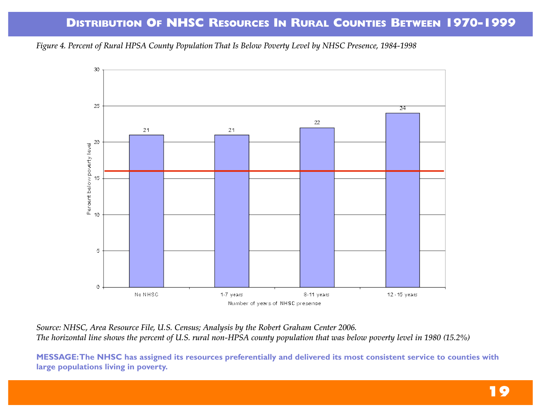*Figure 4. Percent of Rural HPSA County Population That Is Below Poverty Level by NHSC Presence, 1984-1998*



*Source: NHSC, Area Resource File, U.S. Census; Analysis by the Robert Graham Center 2006. The horizontal line shows the percent of U.S. rural non-HPSA county population that was below poverty level in 1980 (15.2%)*

**MESSAGE:The NHSC has assigned its resources preferentially and delivered its most consistent service to counties with large populations living in poverty.**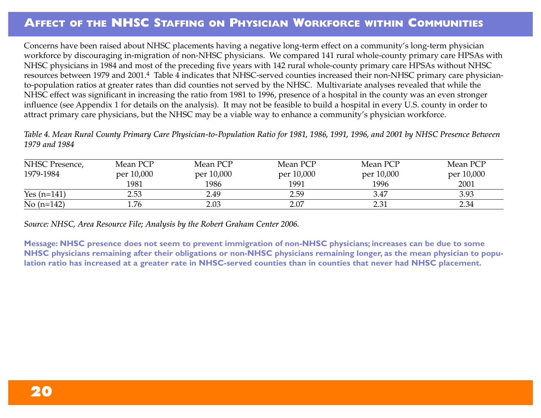### **AFFECT OF THE NHSC STAFFING ON PHYSICIAN WORKFORCE WITHIN COMMUNITIES**

Concerns have been raised about NHSC placements having a negative long-term effect on a community's long-term physician workforce by discouraging in-migration of non-NHSC physicians. We compared 141 rural whole-county primary care HPSAs with NHSC physicians in 1984 and most of the preceding five years with 142 rural whole-county primary care HPSAs without NHSC resources between 1979 and 2001.4 Table 4 indicates that NHSC-served counties increased their non-NHSC primary care physicianto-population ratios at greater rates than did counties not served by the NHSC. Multivariate analyses revealed that while the NHSC effect was significant in increasing the ratio from 1981 to 1996, presence of a hospital in the county was an even stronger influence (see Appendix 1 for details on the analysis). It may not be feasible to build a hospital in every U.S. county in order to attract primary care physicians, but the NHSC may be a viable way to enhance a community's physician workforce.

*Table 4. Mean Rural County Primary Care Physician-to-Population Ratio for 1981, 1986, 1991, 1996, and 2001 by NHSC Presence Between 1979 and 1984* 

| NHSC Presence, | Mean PCP   | Mean PCP   | Mean PCP   | Mean PCP   | Mean PCP   |
|----------------|------------|------------|------------|------------|------------|
| 1979-1984      | per 10,000 | per 10,000 | per 10,000 | per 10,000 | per 10,000 |
|                | 1981       | 1986       | 1991       | 1996       | 2001       |
| Yes $(n=141)$  | 2.53       | 2.49       | 2.59       | 3.47       | 3.93       |
| No $(n=142)$   | 1.76       | 2.03       | 2.07       | 2.31       | 2.34       |

*Source: NHSC, Area Resource File; Analysis by the Robert Graham Center 2006.*

**Message: NHSC presence does not seem to prevent immigration of non-NHSC physicians; increases can be due to some NHSC physicians remaining after their obligations or non-NHSC physicians remaining longer, as the mean physician to population ratio has increased at a greater rate in NHSC-served counties than in counties that never had NHSC placement.**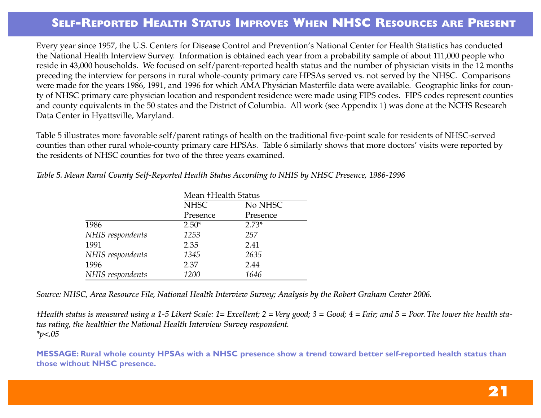### **SELF-REPORTED HEALTH STATUS IMPROVES WHEN NHSC RESOURCES ARE PRESENT**

Every year since 1957, the U.S. Centers for Disease Control and Prevention's National Center for Health Statistics has conducted the National Health Interview Survey. Information is obtained each year from a probability sample of about 111,000 people who reside in 43,000 households. We focused on self/parent-reported health status and the number of physician visits in the 12 months preceding the interview for persons in rural whole-county primary care HPSAs served vs. not served by the NHSC. Comparisons were made for the years 1986, 1991, and 1996 for which AMA Physician Masterfile data were available. Geographic links for county of NHSC primary care physician location and respondent residence were made using FIPS codes. FIPS codes represent counties and county equivalents in the 50 states and the District of Columbia. All work (see Appendix 1) was done at the NCHS Research Data Center in Hyattsville, Maryland.

Table 5 illustrates more favorable self/parent ratings of health on the traditional five-point scale for residents of NHSC-served counties than other rural whole-county primary care HPSAs. Table 6 similarly shows that more doctors' visits were reported by the residents of NHSC counties for two of the three years examined.

| Table 5. Mean Rural County Self-Reported Health Status According to NHIS by NHSC Presence, 1986-1996 |  |  |  |  |  |  |
|------------------------------------------------------------------------------------------------------|--|--|--|--|--|--|
|------------------------------------------------------------------------------------------------------|--|--|--|--|--|--|

|                  | Mean †Health Status    |          |  |  |
|------------------|------------------------|----------|--|--|
|                  | <b>NHSC</b><br>No NHSC |          |  |  |
|                  | Presence               | Presence |  |  |
| 1986             | $2.50*$                | $2.73*$  |  |  |
| NHIS respondents | 1253                   | 257      |  |  |
| 1991             | 2.35                   | 2.41     |  |  |
| NHIS respondents | 1345                   | 2635     |  |  |
| 1996             | 2.37                   | 2.44     |  |  |
| NHIS respondents | 1200                   | 1646     |  |  |

*Source: NHSC, Area Resource File, National Health Interview Survey; Analysis by the Robert Graham Center 2006.*

*†Health status is measured using a 1-5 Likert Scale: 1= Excellent; 2 = Very good; 3 = Good; 4 = Fair; and 5 = Poor. The lower the health status rating, the healthier the National Health Interview Survey respondent. \*p<.05*

**MESSAGE: Rural whole county HPSAs with a NHSC presence show a trend toward better self-reported health status than those without NHSC presence.**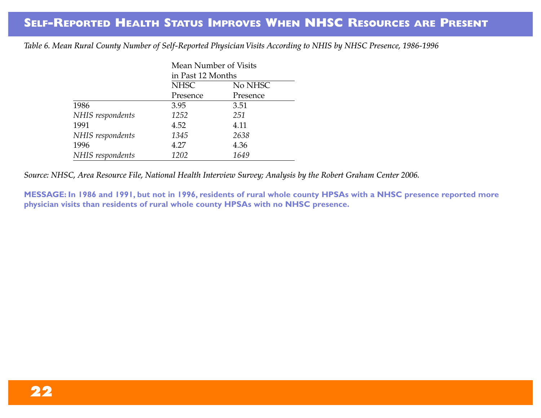*Table 6. Mean Rural County Number of Self-Reported Physician Visits According to NHIS by NHSC Presence, 1986-1996*

| Mean Number of Visits |                        |          |  |  |
|-----------------------|------------------------|----------|--|--|
|                       | in Past 12 Months      |          |  |  |
|                       | <b>NHSC</b><br>No NHSC |          |  |  |
|                       | Presence               | Presence |  |  |
| 1986                  | 3.95                   | 3.51     |  |  |
| NHIS respondents      | 1252                   | 251      |  |  |
| 1991                  | 4.52                   | 4.11     |  |  |
| NHIS respondents      | 1345                   | 2638     |  |  |
| 1996                  | 4.27                   | 4.36     |  |  |
| NHIS respondents      | 1202                   | 1649     |  |  |

*Source: NHSC, Area Resource File, National Health Interview Survey; Analysis by the Robert Graham Center 2006.*

**MESSAGE: In 1986 and 1991, but not in 1996, residents of rural whole county HPSAs with a NHSC presence reported more physician visits than residents of rural whole county HPSAs with no NHSC presence.**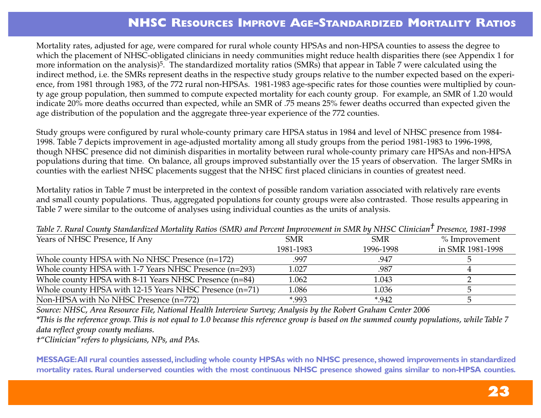### **NHSC RESOURCES IMPROVE AGE-STANDARDIZED MORTALITY RATIOS**

Mortality rates, adjusted for age, were compared for rural whole county HPSAs and non-HPSA counties to assess the degree to which the placement of NHSC-obligated clinicians in needy communities might reduce health disparities there (see Appendix 1 for more information on the analysis)5. The standardized mortality ratios (SMRs) that appear in Table 7 were calculated using the indirect method, i.e. the SMRs represent deaths in the respective study groups relative to the number expected based on the experience, from 1981 through 1983, of the 772 rural non-HPSAs. 1981-1983 age-specific rates for those counties were multiplied by county age group population, then summed to compute expected mortality for each county group. For example, an SMR of 1.20 would indicate 20% more deaths occurred than expected, while an SMR of .75 means 25% fewer deaths occurred than expected given the age distribution of the population and the aggregate three-year experience of the 772 counties.

Study groups were configured by rural whole-county primary care HPSA status in 1984 and level of NHSC presence from 1984- 1998. Table 7 depicts improvement in age-adjusted mortality among all study groups from the period 1981-1983 to 1996-1998, though NHSC presence did not diminish disparities in mortality between rural whole-county primary care HPSAs and non-HPSA populations during that time. On balance, all groups improved substantially over the 15 years of observation. The larger SMRs in counties with the earliest NHSC placements suggest that the NHSC first placed clinicians in counties of greatest need.

Mortality ratios in Table 7 must be interpreted in the context of possible random variation associated with relatively rare events and small county populations. Thus, aggregated populations for county groups were also contrasted. Those results appearing in Table 7 were similar to the outcome of analyses using individual counties as the units of analysis.

| <b>SMR</b> | <b>SMR</b> | $%$ Improvement                                                                                                                |
|------------|------------|--------------------------------------------------------------------------------------------------------------------------------|
| 1981-1983  | 1996-1998  | in SMR 1981-1998                                                                                                               |
| .997       | .947       |                                                                                                                                |
| 1.027      | .987       |                                                                                                                                |
| 1.062      | 1.043      |                                                                                                                                |
| 1.086      | 1.036      |                                                                                                                                |
| *.993      | $*942$     |                                                                                                                                |
|            |            | Tubic 7. Kurul County Sumuaratzea Niorunity Kanos (SNIK) and Ferent Improvement in SNIK by NITSC Chmcuni - Fresence, TSOF-1330 |

*Table 7. Rural County Standardized Mortality Ratios (SMR) and Percent Improvement in SMR by NHSC Clinician† Presence, 1981-1998*

*Source: NHSC, Area Resource File, National Health Interview Survey; Analysis by the Robert Graham Center 2006*

*\*This is the reference group. This is not equal to 1.0 because this reference group is based on the summed county populations, while Table 7 data reflect group county medians.*

*†"Clinician"refers to physicians, NPs, and PAs.*

**MESSAGE: All rural counties assessed, including whole county HPSAs with no NHSC presence, showed improvements in standardized** mortality rates. Rural underserved counties with the most continuous NHSC presence showed gains similar to non-HPSA counties.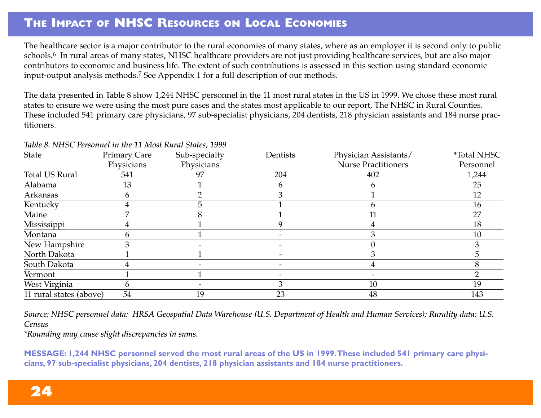### **THE IMPACT OF NHSC RESOURCES ON LOCAL ECONOMIES**

The healthcare sector is a major contributor to the rural economies of many states, where as an employer it is second only to public schools.<sup>6</sup> In rural areas of many states, NHSC healthcare providers are not just providing healthcare services, but are also major contributors to economic and business life. The extent of such contributions is assessed in this section using standard economic input-output analysis methods.7 See Appendix 1 for a full description of our methods.

The data presented in Table 8 show 1,244 NHSC personnel in the 11 most rural states in the US in 1999. We chose these most rural states to ensure we were using the most pure cases and the states most applicable to our report, The NHSC in Rural Counties. These included 541 primary care physicians, 97 sub-specialist physicians, 204 dentists, 218 physician assistants and 184 nurse practitioners.

| State                   | <b>Primary Care</b> | Sub-specialty | Dentists | Physician Assistants/      | <i><b>*Total NHSC</b></i> |
|-------------------------|---------------------|---------------|----------|----------------------------|---------------------------|
|                         | Physicians          | Physicians    |          | <b>Nurse Practitioners</b> | Personnel                 |
| <b>Total US Rural</b>   | 541                 | 97            | 204      | 402                        | 1,244                     |
| Alabama                 | 13                  |               |          |                            | 25                        |
| Arkansas                | b                   |               |          |                            | 12                        |
| Kentucky                |                     |               |          |                            | 16                        |
| Maine                   |                     |               |          | 11                         | 27                        |
| Mississippi             |                     |               |          |                            | 18                        |
| Montana                 |                     |               |          |                            | 10                        |
| New Hampshire           |                     |               |          |                            |                           |
| North Dakota            |                     |               |          |                            | h                         |
| South Dakota            |                     |               |          |                            |                           |
| Vermont                 |                     |               |          |                            |                           |
| West Virginia           | <sub>t</sub>        |               |          | 10                         | 19                        |
| 11 rural states (above) | 54                  | 19            | 23       | 48                         | 143                       |

#### *Table 8. NHSC Personnel in the 11 Most Rural States, 1999*

*Source: NHSC personnel data: HRSA Geospatial Data Warehouse (U.S. Department of Health and Human Services); Rurality data: U.S. Census*

*\*Rounding may cause slight discrepancies in sums.*

**MESSAGE: 1,244 NHSC personnel served the most rural areas of the US in 1999.These included 541 primary care physicians, 97 sub-specialist physicians, 204 dentists, 218 physician assistants and 184 nurse practitioners.**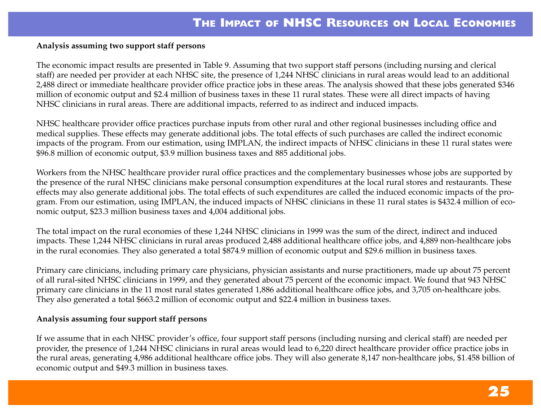#### **Analysis assuming two support staff persons**

The economic impact results are presented in Table 9. Assuming that two support staff persons (including nursing and clerical staff) are needed per provider at each NHSC site, the presence of 1,244 NHSC clinicians in rural areas would lead to an additional 2,488 direct or immediate healthcare provider office practice jobs in these areas. The analysis showed that these jobs generated \$346 million of economic output and \$2.4 million of business taxes in these 11 rural states. These were all direct impacts of having NHSC clinicians in rural areas. There are additional impacts, referred to as indirect and induced impacts.

NHSC healthcare provider office practices purchase inputs from other rural and other regional businesses including office and medical supplies. These effects may generate additional jobs. The total effects of such purchases are called the indirect economic impacts of the program. From our estimation, using IMPLAN, the indirect impacts of NHSC clinicians in these 11 rural states were \$96.8 million of economic output, \$3.9 million business taxes and 885 additional jobs.

Workers from the NHSC healthcare provider rural office practices and the complementary businesses whose jobs are supported by the presence of the rural NHSC clinicians make personal consumption expenditures at the local rural stores and restaurants. These effects may also generate additional jobs. The total effects of such expenditures are called the induced economic impacts of the program. From our estimation, using IMPLAN, the induced impacts of NHSC clinicians in these 11 rural states is \$432.4 million of economic output, \$23.3 million business taxes and 4,004 additional jobs.

The total impact on the rural economies of these 1,244 NHSC clinicians in 1999 was the sum of the direct, indirect and induced impacts. These 1,244 NHSC clinicians in rural areas produced 2,488 additional healthcare office jobs, and 4,889 non-healthcare jobs in the rural economies. They also generated a total \$874.9 million of economic output and \$29.6 million in business taxes.

Primary care clinicians, including primary care physicians, physician assistants and nurse practitioners, made up about 75 percent of all rural-sited NHSC clinicians in 1999, and they generated about 75 percent of the economic impact. We found that 943 NHSC primary care clinicians in the 11 most rural states generated 1,886 additional healthcare office jobs, and 3,705 on-healthcare jobs. They also generated a total \$663.2 million of economic output and \$22.4 million in business taxes.

#### **Analysis assuming four support staff persons**

If we assume that in each NHSC provider's office, four support staff persons (including nursing and clerical staff) are needed per provider, the presence of 1,244 NHSC clinicians in rural areas would lead to 6,220 direct healthcare provider office practice jobs in the rural areas, generating 4,986 additional healthcare office jobs. They will also generate 8,147 non-healthcare jobs, \$1.458 billion of economic output and \$49.3 million in business taxes.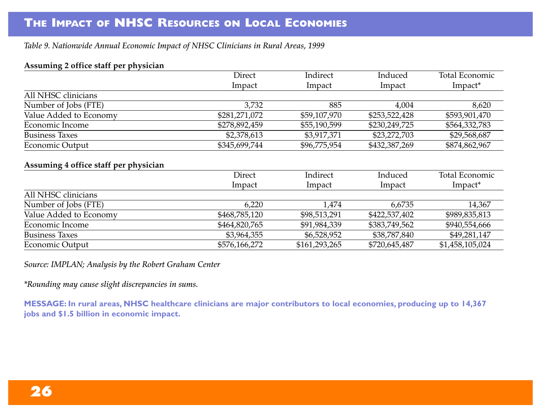*Table 9. Nationwide Annual Economic Impact of NHSC Clinicians in Rural Areas, 1999*

#### **Assuming 2 office staff per physician**

|                                       | Direct        | Indirect     | Induced       | <b>Total Economic</b> |
|---------------------------------------|---------------|--------------|---------------|-----------------------|
|                                       | Impact        | Impact       | Impact        | Impact*               |
| All NHSC clinicians                   |               |              |               |                       |
| Number of Jobs (FTE)                  | 3,732         | 885          | 4,004         | 8,620                 |
| Value Added to Economy                | \$281,271,072 | \$59,107,970 | \$253,522,428 | \$593,901,470         |
| Economic Income                       | \$278,892,459 | \$55,190,599 | \$230,249,725 | \$564,332,783         |
| <b>Business Taxes</b>                 | \$2,378,613   | \$3,917,371  | \$23,272,703  | \$29,568,687          |
| Economic Output                       | \$345,699,744 | \$96,775,954 | \$432,387,269 | \$874,862,967         |
|                                       |               |              |               |                       |
| Assuming 4 office staff per physician |               |              |               |                       |

|                        | Direct        | Indirect      | Induced       | <b>Total Economic</b> |
|------------------------|---------------|---------------|---------------|-----------------------|
|                        | Impact        | Impact        | Impact        | Impact*               |
| All NHSC clinicians    |               |               |               |                       |
| Number of Jobs (FTE)   | 6,220         | 1,474         | 6,6735        | 14,367                |
| Value Added to Economy | \$468,785,120 | \$98,513,291  | \$422,537,402 | \$989,835,813         |
| Economic Income        | \$464,820,765 | \$91,984,339  | \$383,749,562 | \$940,554,666         |
| <b>Business Taxes</b>  | \$3,964,355   | \$6,528,952   | \$38,787,840  | \$49,281,147          |
| Economic Output        | \$576,166,272 | \$161,293,265 | \$720,645,487 | \$1,458,105,024       |

*Source: IMPLAN; Analysis by the Robert Graham Center*

*\*Rounding may cause slight discrepancies in sums.*

**MESSAGE: In rural areas, NHSC healthcare clinicians are major contributors to local economies, producing up to 14,367 jobs and \$1.5 billion in economic impact.**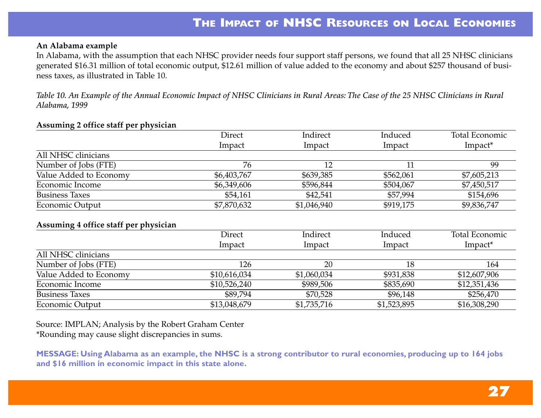#### **An Alabama example**

In Alabama, with the assumption that each NHSC provider needs four support staff persons, we found that all 25 NHSC clinicians generated \$16.31 million of total economic output, \$12.61 million of value added to the economy and about \$257 thousand of business taxes, as illustrated in Table 10.

*Table 10. An Example of the Annual Economic Impact of NHSC Clinicians in Rural Areas: The Case of the 25 NHSC Clinicians in Rural Alabama, 1999*

#### **Assuming 2 office staff per physician**

|                        | Direct      | Indirect    | Induced   | Total Economic |
|------------------------|-------------|-------------|-----------|----------------|
|                        | Impact      | Impact      | Impact    | Impact*        |
| All NHSC clinicians    |             |             |           |                |
| Number of Jobs (FTE)   | 76          |             |           | 99             |
| Value Added to Economy | \$6,403,767 | \$639,385   | \$562,061 | \$7,605,213    |
| Economic Income        | \$6,349,606 | \$596,844   | \$504,067 | \$7,450,517    |
| <b>Business Taxes</b>  | \$54,161    | \$42,541    | \$57,994  | \$154,696      |
| Economic Output        | \$7,870,632 | \$1,046,940 | \$919,175 | \$9,836,747    |

#### **Assuming 4 office staff per physician**

|                        | Direct       | Indirect    | Induced     | Total Economic      |
|------------------------|--------------|-------------|-------------|---------------------|
|                        | Impact       | Impact      | Impact      | Impact <sup>*</sup> |
| All NHSC clinicians    |              |             |             |                     |
| Number of Jobs (FTE)   | 126          | 20          | 18          | 164                 |
| Value Added to Economy | \$10,616,034 | \$1,060,034 | \$931,838   | \$12,607,906        |
| Economic Income        | \$10,526,240 | \$989,506   | \$835,690   | \$12,351,436        |
| <b>Business Taxes</b>  | \$89,794     | \$70,528    | \$96,148    | \$256,470           |
| Economic Output        | \$13,048,679 | \$1,735,716 | \$1,523,895 | \$16,308,290        |

Source: IMPLAN; Analysis by the Robert Graham Center \*Rounding may cause slight discrepancies in sums.

**MESSAGE: Using Alabama as an example, the NHSC is a strong contributor to rural economies, producing up to 164 jobs and \$16 million in economic impact in this state alone.**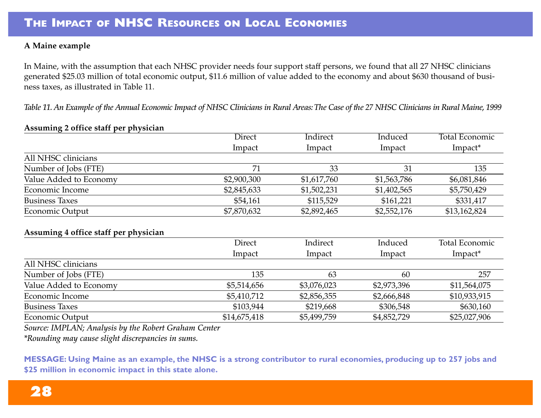#### **A Maine example**

In Maine, with the assumption that each NHSC provider needs four support staff persons, we found that all 27 NHSC clinicians generated \$25.03 million of total economic output, \$11.6 million of value added to the economy and about \$630 thousand of business taxes, as illustrated in Table 11.

*Table 11. An Example of the Annual Economic Impact of NHSC Clinicians in Rural Areas: The Case of the 27 NHSC Clinicians in Rural Maine, 1999* 

#### **Assuming 2 office staff per physician**

| $\cdot$                | Direct      | Indirect    | Induced     | <b>Total Economic</b> |
|------------------------|-------------|-------------|-------------|-----------------------|
|                        | Impact      | Impact      | Impact      | Impact*               |
| All NHSC clinicians    |             |             |             |                       |
| Number of Jobs (FTE)   | 71          | 33          | 31          | 135                   |
| Value Added to Economy | \$2,900,300 | \$1,617,760 | \$1,563,786 | \$6,081,846           |
| Economic Income        | \$2,845,633 | \$1,502,231 | \$1,402,565 | \$5,750,429           |
| <b>Business Taxes</b>  | \$54,161    | \$115,529   | \$161,221   | \$331,417             |
| Economic Output        | \$7,870,632 | \$2,892,465 | \$2,552,176 | \$13,162,824          |

#### **Assuming 4 office staff per physician**

|                        | <b>Direct</b> | Indirect    | Induced     | <b>Total Economic</b> |
|------------------------|---------------|-------------|-------------|-----------------------|
|                        | Impact        | Impact      | Impact      | Impact*               |
| All NHSC clinicians    |               |             |             |                       |
| Number of Jobs (FTE)   | 135           | 63          | 60          | 257                   |
| Value Added to Economy | \$5,514,656   | \$3,076,023 | \$2,973,396 | \$11,564,075          |
| Economic Income        | \$5,410,712   | \$2,856,355 | \$2,666,848 | \$10,933,915          |
| <b>Business Taxes</b>  | \$103,944     | \$219,668   | \$306,548   | \$630,160             |
| Economic Output        | \$14,675,418  | \$5,499,759 | \$4,852,729 | \$25,027,906          |

*Source: IMPLAN; Analysis by the Robert Graham Center*

*\*Rounding may cause slight discrepancies in sums.*

**MESSAGE: Using Maine as an example, the NHSC is a strong contributor to rural economies, producing up to 257 jobs and \$25 million in economic impact in this state alone.**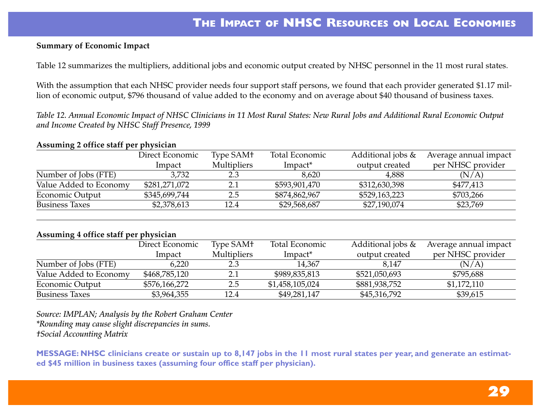#### **Summary of Economic Impact**

Table 12 summarizes the multipliers, additional jobs and economic output created by NHSC personnel in the 11 most rural states.

With the assumption that each NHSC provider needs four support staff persons, we found that each provider generated \$1.17 million of economic output, \$796 thousand of value added to the economy and on average about \$40 thousand of business taxes.

*Table 12. Annual Economic Impact of NHSC Clinicians in 11 Most Rural States: New Rural Jobs and Additional Rural Economic Output and Income Created by NHSC Staff Presence, 1999*

#### **Assuming 2 office staff per physician**

|                        | Direct Economic | Type SAM+          | Total Economic      | Additional jobs & | Average annual impact |
|------------------------|-----------------|--------------------|---------------------|-------------------|-----------------------|
|                        | lmpact          | <b>Multipliers</b> | Impact <sup>*</sup> | output created    | per NHSC provider     |
| Number of Jobs (FTE)   | 3,732           | 2.3                | 8,620               | 4,888             | (N/A)                 |
| Value Added to Economy | \$281,271,072   |                    | \$593,901,470       | \$312,630,398     | \$477,413             |
| Economic Output        | \$345,699,744   | 2.5                | \$874,862,967       | \$529,163,223     | \$703,266             |
| <b>Business Taxes</b>  | \$2,378,613     | 12.4               | \$29,568,687        | \$27,190,074      | \$23,769              |

#### **Assuming 4 office staff per physician**

|                        | Direct Economic | Type SAM+          | Total Economic  | Additional jobs $\&$ | Average annual impact |
|------------------------|-----------------|--------------------|-----------------|----------------------|-----------------------|
|                        | <b>Impact</b>   | <b>Multipliers</b> | Impact*         | output created       | per NHSC provider     |
| Number of Jobs (FTE)   | 6,220           | 2.3                | 14,367          | 8,147                | (N/A)                 |
| Value Added to Economy | \$468,785,120   | 2.1                | \$989,835,813   | \$521,050,693        | \$795,688             |
| Economic Output        | \$576,166,272   | 2.5                | \$1,458,105,024 | \$881,938,752        | \$1,172,110           |
| <b>Business Taxes</b>  | \$3,964,355     | 12.4               | \$49,281,147    | \$45,316,792         | \$39,615              |

*Source: IMPLAN; Analysis by the Robert Graham Center \*Rounding may cause slight discrepancies in sums. †Social Accounting Matrix*

**MESSAGE: NHSC clinicians create or sustain up to 8,147 jobs in the 11 most rural states per year, and generate an estimated \$45 million in business taxes (assuming four office staff per physician).**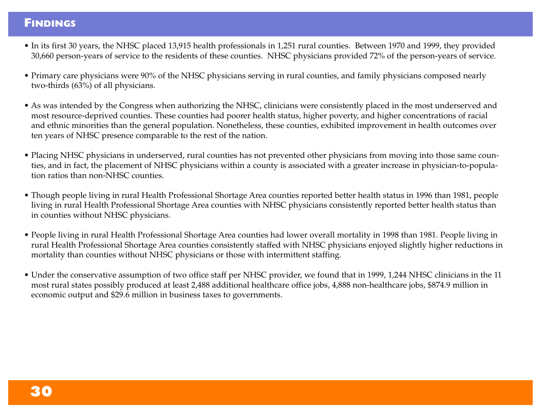### **FINDINGS**

- In its first 30 years, the NHSC placed 13,915 health professionals in 1,251 rural counties. Between 1970 and 1999, they provided 30,660 person-years of service to the residents of these counties. NHSC physicians provided 72% of the person-years of service.
- Primary care physicians were 90% of the NHSC physicians serving in rural counties, and family physicians composed nearly two-thirds (63%) of all physicians.
- As was intended by the Congress when authorizing the NHSC, clinicians were consistently placed in the most underserved and most resource-deprived counties. These counties had poorer health status, higher poverty, and higher concentrations of racial and ethnic minorities than the general population. Nonetheless, these counties, exhibited improvement in health outcomes over ten years of NHSC presence comparable to the rest of the nation.
- Placing NHSC physicians in underserved, rural counties has not prevented other physicians from moving into those same counties, and in fact, the placement of NHSC physicians within a county is associated with a greater increase in physician-to-population ratios than non-NHSC counties.
- Though people living in rural Health Professional Shortage Area counties reported better health status in 1996 than 1981, people living in rural Health Professional Shortage Area counties with NHSC physicians consistently reported better health status than in counties without NHSC physicians.
- People living in rural Health Professional Shortage Area counties had lower overall mortality in 1998 than 1981. People living in rural Health Professional Shortage Area counties consistently staffed with NHSC physicians enjoyed slightly higher reductions in mortality than counties without NHSC physicians or those with intermittent staffing.
- Under the conservative assumption of two office staff per NHSC provider, we found that in 1999, 1,244 NHSC clinicians in the 11 most rural states possibly produced at least 2,488 additional healthcare office jobs, 4,888 non-healthcare jobs, \$874.9 million in economic output and \$29.6 million in business taxes to governments.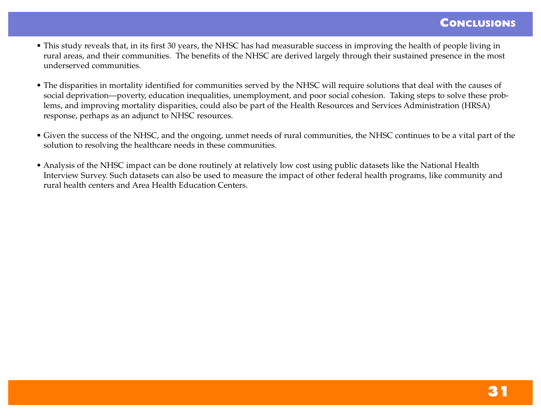- This study reveals that, in its first 30 years, the NHSC has had measurable success in improving the health of people living in rural areas, and their communities. The benefits of the NHSC are derived largely through their sustained presence in the most underserved communities.
- The disparities in mortality identified for communities served by the NHSC will require solutions that deal with the causes of social deprivation—poverty, education inequalities, unemployment, and poor social cohesion. Taking steps to solve these problems, and improving mortality disparities, could also be part of the Health Resources and Services Administration (HRSA) response, perhaps as an adjunct to NHSC resources.
- Given the success of the NHSC, and the ongoing, unmet needs of rural communities, the NHSC continues to be a vital part of the solution to resolving the healthcare needs in these communities.
- Analysis of the NHSC impact can be done routinely at relatively low cost using public datasets like the National Health Interview Survey. Such datasets can also be used to measure the impact of other federal health programs, like community and rural health centers and Area Health Education Centers.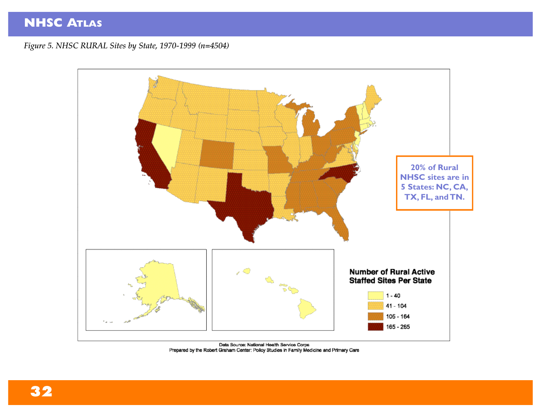*Figure 5. NHSC RURAL Sites by State, 1970-1999 (n=4504)*



Data Source: National Health Service Corps<br>Prepared by the Robert Graham Center: Policy Studies in Family Medicine and Primary Care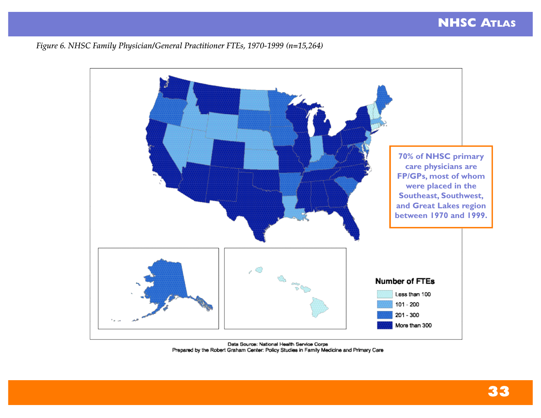*Figure 6. NHSC Family Physician/General Practitioner FTEs, 1970-1999 (n=15,264)*



Data Source: National Health Service Corps Prepared by the Robert Graham Center: Policy Studies in Family Medicine and Primary Care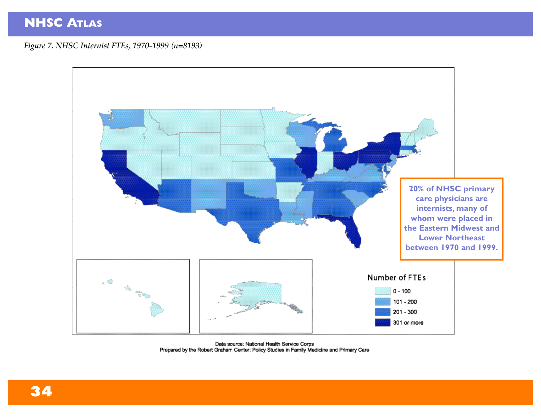*Figure 7. NHSC Internist FTEs, 1970-1999 (n=8193)*



Data source: National Health Service Corps Prepared by the Robert Graham Center: Policy Studies in Family Medicine and Primary Care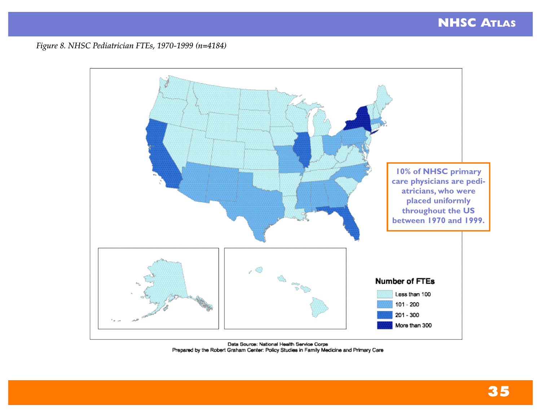#### *Figure 8. NHSC Pediatrician FTEs, 1970-1999 (n=4184)*



Data Source: National Health Service Corps Prepared by the Robert Graham Center: Policy Studies in Family Medicine and Primary Care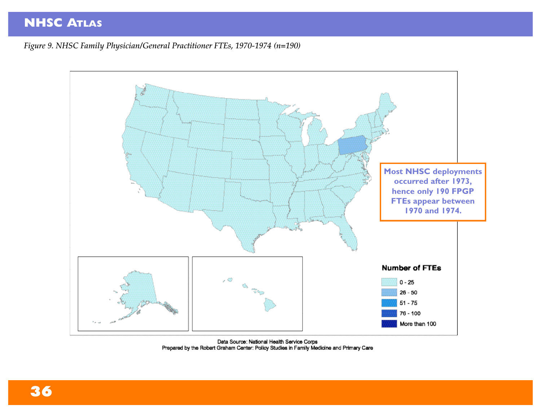*Figure 9. NHSC Family Physician/General Practitioner FTEs, 1970-1974 (n=190)*



Data Source: National Health Service Corps<br>Prepared by the Robert Graham Center: Policy Studies in Family Medicine and Primary Care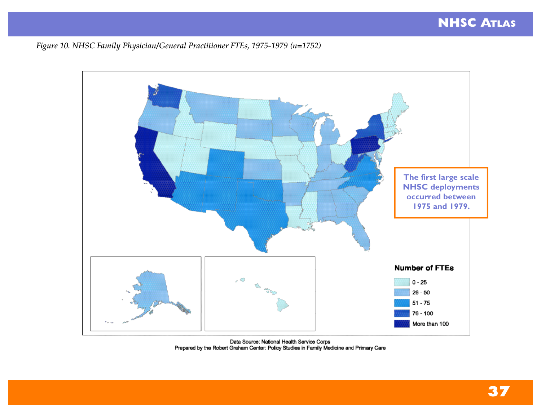*Figure 10. NHSC Family Physician/General Practitioner FTEs, 1975-1979 (n=1752)*



Data Source: National Health Service Corps<br>Prepared by the Robert Graham Center: Policy Studies in Family Medicine and Primary Care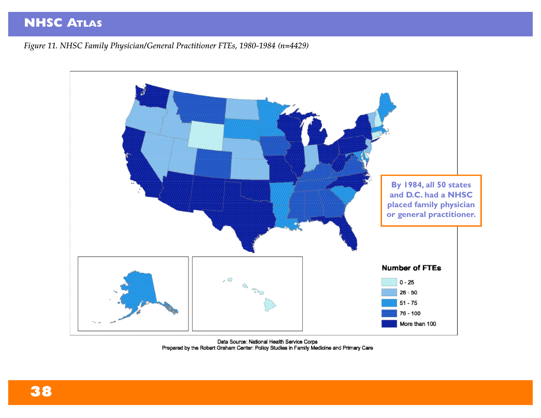*Figure 11. NHSC Family Physician/General Practitioner FTEs, 1980-1984 (n=4429)*



Data Source: National Health Service Corps<br>Prepared by the Robert Graham Center: Policy Studies in Family Medicine and Primary Care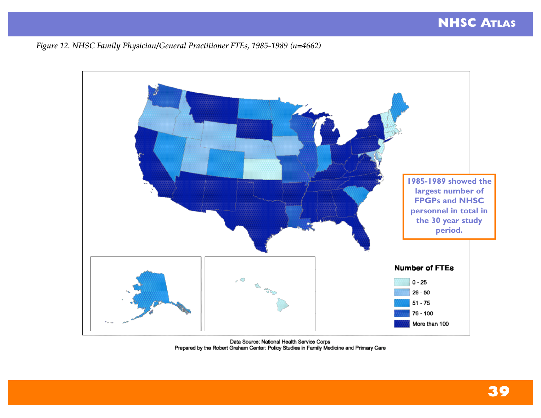*Figure 12. NHSC Family Physician/General Practitioner FTEs, 1985-1989 (n=4662)*



Data Source: National Health Service Corps<br>Prepared by the Robert Graham Center: Policy Studies in Family Medicine and Primary Care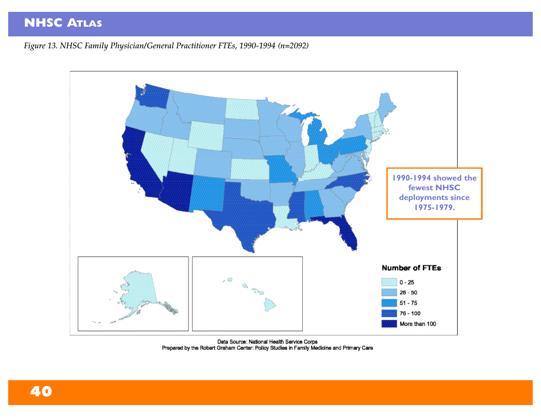*Figure 13. NHSC Family Physician/General Practitioner FTEs, 1990-1994 (n=2092)*



Data Source: National Health Service Corps<br>Prepared by the Robert Graham Center: Policy Studies in Family Medicine and Primary Care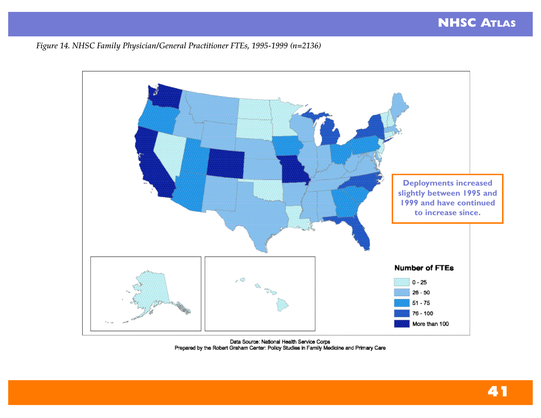*Figure 14. NHSC Family Physician/General Practitioner FTEs, 1995-1999 (n=2136)*



Data Source: National Health Service Corps<br>Prepared by the Robert Graham Center: Policy Studies in Family Medicine and Primary Care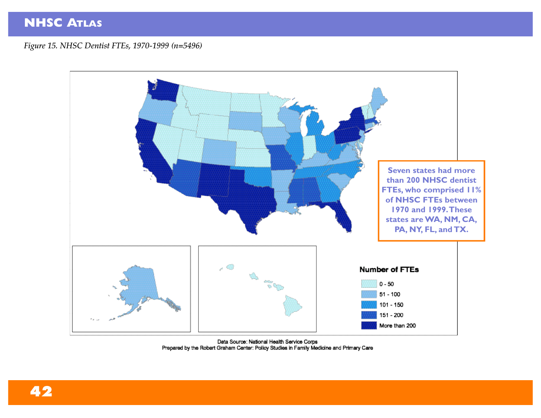*Figure 15. NHSC Dentist FTEs, 1970-1999 (n=5496)*



Data Source: National Health Service Corps<br>Prepared by the Robert Graham Center: Policy Studies in Family Medicine and Primary Care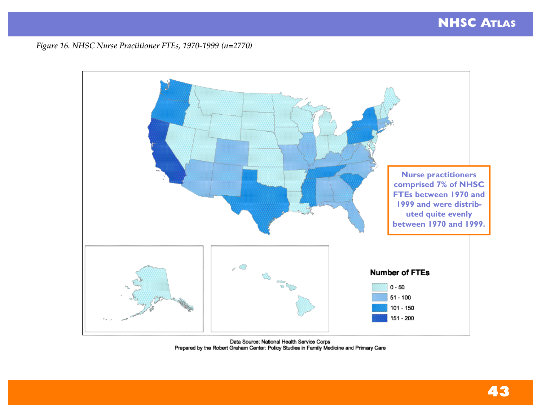*Figure 16. NHSC Nurse Practitioner FTEs, 1970-1999 (n=2770)*



Data Source: National Health Service Corps<br>Prepared by the Robert Graham Center: Policy Studies in Family Medicine and Primary Care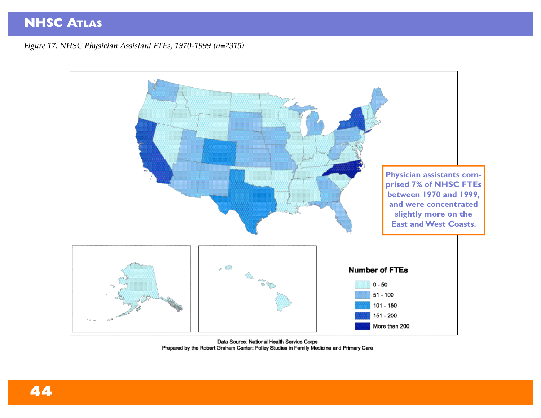*Figure 17. NHSC Physician Assistant FTEs, 1970-1999 (n=2315)*



Data Source: National Health Service Corps<br>Prepared by the Robert Graham Center: Policy Studies in Family Medicine and Primary Care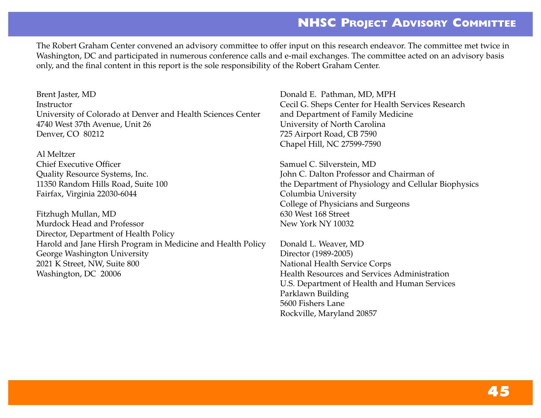### **NHSC PROJECT ADVISORY COMMITTEE**

The Robert Graham Center convened an advisory committee to offer input on this research endeavor. The committee met twice in Washington, DC and participated in numerous conference calls and e-mail exchanges. The committee acted on an advisory basis only, and the final content in this report is the sole responsibility of the Robert Graham Center.

Brent Jaster, MD **Instructor** University of Colorado at Denver and Health Sciences Center 4740 West 37th Avenue, Unit 26 Denver, CO 80212

Al Meltzer Chief Executive Officer Quality Resource Systems, Inc. 11350 Random Hills Road, Suite 100 Fairfax, Virginia 22030-6044

Fitzhugh Mullan, MD Murdock Head and Professor Director, Department of Health Policy Harold and Jane Hirsh Program in Medicine and Health Policy George Washington University 2021 K Street, NW, Suite 800 Washington, DC 20006

Donald E. Pathman, MD, MPH Cecil G. Sheps Center for Health Services Research and Department of Family Medicine University of North Carolina 725 Airport Road, CB 7590 Chapel Hill, NC 27599-7590

Samuel C. Silverstein, MD John C. Dalton Professor and Chairman of the Department of Physiology and Cellular Biophysics Columbia University College of Physicians and Surgeons 630 West 168 Street New York NY 10032

Donald L. Weaver, MD Director (1989-2005) National Health Service Corps Health Resources and Services Administration U.S. Department of Health and Human Services Parklawn Building 5600 Fishers Lane Rockville, Maryland 20857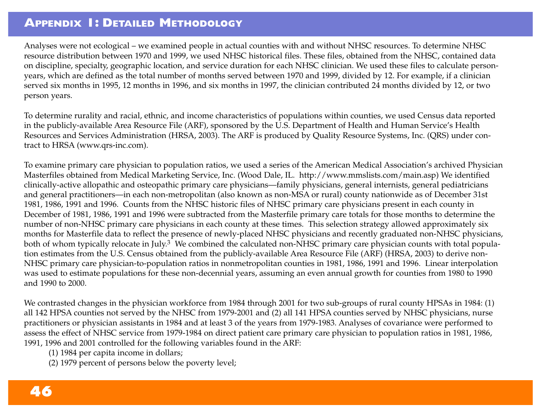### **APPENDIX 1: DETAILED METHODOLOGY**

Analyses were not ecological – we examined people in actual counties with and without NHSC resources. To determine NHSC resource distribution between 1970 and 1999, we used NHSC historical files. These files, obtained from the NHSC, contained data on discipline, specialty, geographic location, and service duration for each NHSC clinician. We used these files to calculate personyears, which are defined as the total number of months served between 1970 and 1999, divided by 12. For example, if a clinician served six months in 1995, 12 months in 1996, and six months in 1997, the clinician contributed 24 months divided by 12, or two person years.

To determine rurality and racial, ethnic, and income characteristics of populations within counties, we used Census data reported in the publicly-available Area Resource File (ARF), sponsored by the U.S. Department of Health and Human Service's Health Resources and Services Administration (HRSA, 2003). The ARF is produced by Quality Resource Systems, Inc. (QRS) under contract to HRSA (www.qrs-inc.com).

To examine primary care physician to population ratios, we used a series of the American Medical Association's archived Physician Masterfiles obtained from Medical Marketing Service, Inc. (Wood Dale, IL. http://www.mmslists.com/main.asp) We identified clinically-active allopathic and osteopathic primary care physicians—family physicians, general internists, general pediatricians and general practitioners—in each non-metropolitan (also known as non-MSA or rural) county nationwide as of December 31st 1981, 1986, 1991 and 1996. Counts from the NHSC historic files of NHSC primary care physicians present in each county in December of 1981, 1986, 1991 and 1996 were subtracted from the Masterfile primary care totals for those months to determine the number of non-NHSC primary care physicians in each county at these times. This selection strategy allowed approximately six months for Masterfile data to reflect the presence of newly-placed NHSC physicians and recently graduated non-NHSC physicians, both of whom typically relocate in July.<sup>3</sup> We combined the calculated non-NHSC primary care physician counts with total population estimates from the U.S. Census obtained from the publicly-available Area Resource File (ARF) (HRSA, 2003) to derive non-NHSC primary care physician-to-population ratios in nonmetropolitan counties in 1981, 1986, 1991 and 1996. Linear interpolation was used to estimate populations for these non-decennial years, assuming an even annual growth for counties from 1980 to 1990 and 1990 to 2000.

We contrasted changes in the physician workforce from 1984 through 2001 for two sub-groups of rural county HPSAs in 1984: (1) all 142 HPSA counties not served by the NHSC from 1979-2001 and (2) all 141 HPSA counties served by NHSC physicians, nurse practitioners or physician assistants in 1984 and at least 3 of the years from 1979-1983. Analyses of covariance were performed to assess the effect of NHSC service from 1979-1984 on direct patient care primary care physician to population ratios in 1981, 1986, 1991, 1996 and 2001 controlled for the following variables found in the ARF:

- (1) 1984 per capita income in dollars;
- (2) 1979 percent of persons below the poverty level;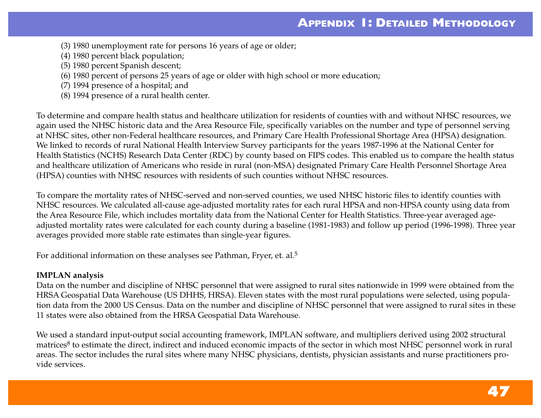- (3) 1980 unemployment rate for persons 16 years of age or older;
- (4) 1980 percent black population;
- (5) 1980 percent Spanish descent;
- (6) 1980 percent of persons 25 years of age or older with high school or more education;
- (7) 1994 presence of a hospital; and
- (8) 1994 presence of a rural health center.

To determine and compare health status and healthcare utilization for residents of counties with and without NHSC resources, we again used the NHSC historic data and the Area Resource File, specifically variables on the number and type of personnel serving at NHSC sites, other non-Federal healthcare resources, and Primary Care Health Professional Shortage Area (HPSA) designation. We linked to records of rural National Health Interview Survey participants for the years 1987-1996 at the National Center for Health Statistics (NCHS) Research Data Center (RDC) by county based on FIPS codes. This enabled us to compare the health status and healthcare utilization of Americans who reside in rural (non-MSA) designated Primary Care Health Personnel Shortage Area (HPSA) counties with NHSC resources with residents of such counties without NHSC resources.

To compare the mortality rates of NHSC-served and non-served counties, we used NHSC historic files to identify counties with NHSC resources. We calculated all-cause age-adjusted mortality rates for each rural HPSA and non-HPSA county using data from the Area Resource File, which includes mortality data from the National Center for Health Statistics. Three-year averaged ageadjusted mortality rates were calculated for each county during a baseline (1981-1983) and follow up period (1996-1998). Three year averages provided more stable rate estimates than single-year figures.

For additional information on these analyses see Pathman, Fryer, et. al.5

#### **IMPLAN analysis**

Data on the number and discipline of NHSC personnel that were assigned to rural sites nationwide in 1999 were obtained from the HRSA Geospatial Data Warehouse (US DHHS, HRSA). Eleven states with the most rural populations were selected, using population data from the 2000 US Census. Data on the number and discipline of NHSC personnel that were assigned to rural sites in these 11 states were also obtained from the HRSA Geospatial Data Warehouse.

We used a standard input-output social accounting framework, IMPLAN software, and multipliers derived using 2002 structural matrices<sup>8</sup> to estimate the direct, indirect and induced economic impacts of the sector in which most NHSC personnel work in rural areas. The sector includes the rural sites where many NHSC physicians, dentists, physician assistants and nurse practitioners provide services.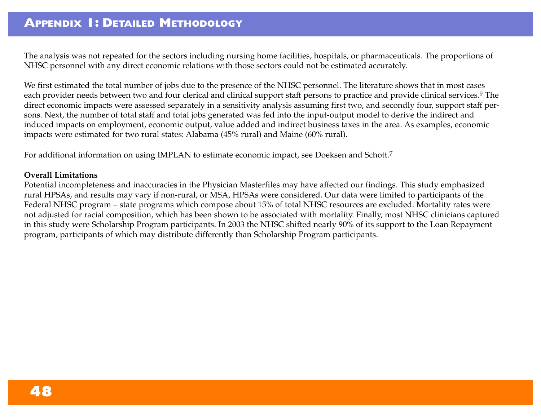The analysis was not repeated for the sectors including nursing home facilities, hospitals, or pharmaceuticals. The proportions of NHSC personnel with any direct economic relations with those sectors could not be estimated accurately.

We first estimated the total number of jobs due to the presence of the NHSC personnel. The literature shows that in most cases each provider needs between two and four clerical and clinical support staff persons to practice and provide clinical services.<sup>9</sup> The direct economic impacts were assessed separately in a sensitivity analysis assuming first two, and secondly four, support staff persons. Next, the number of total staff and total jobs generated was fed into the input-output model to derive the indirect and induced impacts on employment, economic output, value added and indirect business taxes in the area. As examples, economic impacts were estimated for two rural states: Alabama (45% rural) and Maine (60% rural).

For additional information on using IMPLAN to estimate economic impact, see Doeksen and Schott.7

#### **Overall Limitations**

Potential incompleteness and inaccuracies in the Physician Masterfiles may have affected our findings. This study emphasized rural HPSAs, and results may vary if non-rural, or MSA, HPSAs were considered. Our data were limited to participants of the Federal NHSC program – state programs which compose about 15% of total NHSC resources are excluded. Mortality rates were not adjusted for racial composition, which has been shown to be associated with mortality. Finally, most NHSC clinicians captured in this study were Scholarship Program participants. In 2003 the NHSC shifted nearly 90% of its support to the Loan Repayment program, participants of which may distribute differently than Scholarship Program participants.